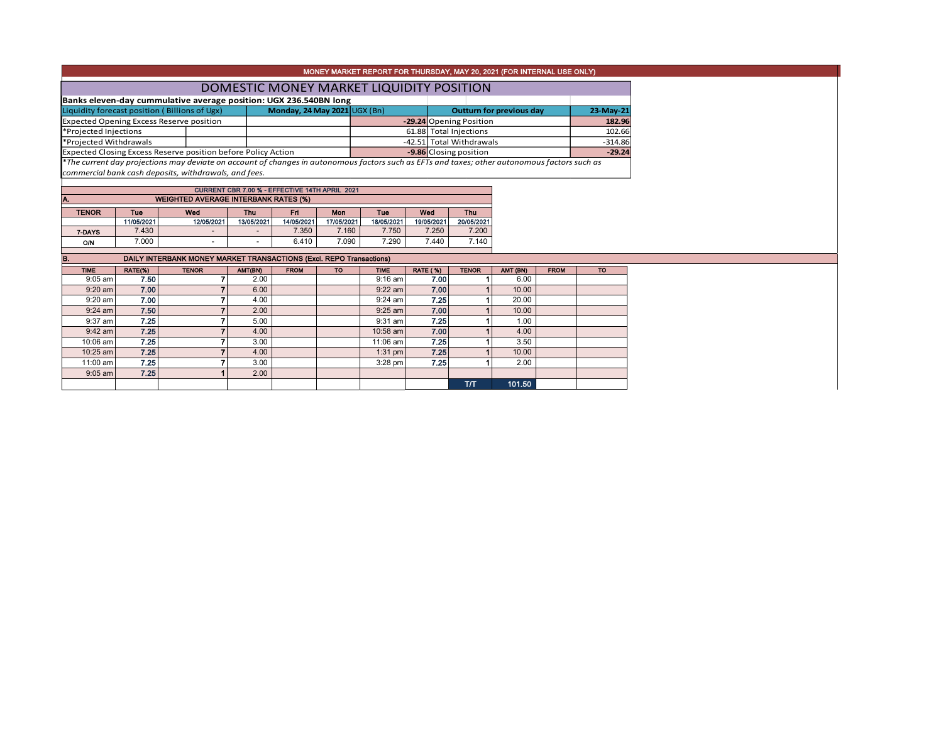| MONEY MARKET REPORT FOR THURSDAY, MAY 20, 2021 (FOR INTERNAL USE ONLY)                                                                        |                                                                               |                                                                   |                 |                              |                        |                          |                 |            |                        |                                 |             |           |
|-----------------------------------------------------------------------------------------------------------------------------------------------|-------------------------------------------------------------------------------|-------------------------------------------------------------------|-----------------|------------------------------|------------------------|--------------------------|-----------------|------------|------------------------|---------------------------------|-------------|-----------|
| DOMESTIC MONEY MARKET LIQUIDITY POSITION                                                                                                      |                                                                               |                                                                   |                 |                              |                        |                          |                 |            |                        |                                 |             |           |
|                                                                                                                                               |                                                                               | Banks eleven-day cummulative average position: UGX 236.540BN long |                 |                              |                        |                          |                 |            |                        |                                 |             |           |
|                                                                                                                                               |                                                                               | Liquidity forecast position (Billions of Ugx)                     |                 | Monday, 24 May 2021 UGX (Bn) |                        |                          |                 |            |                        | <b>Outturn for previous day</b> |             | 23-May-21 |
|                                                                                                                                               | Expected Opening Excess Reserve position<br>-29.24 Opening Position<br>182.96 |                                                                   |                 |                              |                        |                          |                 |            |                        |                                 |             |           |
| *Projected Injections                                                                                                                         |                                                                               |                                                                   |                 |                              | 61.88 Total Injections |                          |                 |            |                        | 102.66                          |             |           |
| *Projected Withdrawals                                                                                                                        |                                                                               |                                                                   |                 |                              |                        | -42.51 Total Withdrawals |                 |            |                        |                                 | $-314.86$   |           |
|                                                                                                                                               |                                                                               | Expected Closing Excess Reserve position before Policy Action     |                 |                              |                        |                          |                 |            | -9.86 Closing position |                                 |             | $-29.24$  |
| *The current day projections may deviate on account of changes in autonomous factors such as EFTs and taxes; other autonomous factors such as |                                                                               |                                                                   |                 |                              |                        |                          |                 |            |                        |                                 |             |           |
| commercial bank cash deposits, withdrawals, and fees.                                                                                         |                                                                               |                                                                   |                 |                              |                        |                          |                 |            |                        |                                 |             |           |
| CURRENT CBR 7.00 % - EFFECTIVE 14TH APRIL 2021                                                                                                |                                                                               |                                                                   |                 |                              |                        |                          |                 |            |                        |                                 |             |           |
| A.<br><b>WEIGHTED AVERAGE INTERBANK RATES (%)</b>                                                                                             |                                                                               |                                                                   |                 |                              |                        |                          |                 |            |                        |                                 |             |           |
| <b>TENOR</b>                                                                                                                                  | Tue<br>Wed<br>Thu<br>Fri.<br>Tue<br>Wed<br>Mon                                |                                                                   |                 |                              |                        |                          |                 | <b>Thu</b> |                        |                                 |             |           |
|                                                                                                                                               | 11/05/2021                                                                    | 12/05/2021                                                        | 13/05/2021      | 17/05/2021<br>14/05/2021     |                        | 18/05/2021               | 19/05/2021      |            | 20/05/2021             |                                 |             |           |
| 7-DAYS                                                                                                                                        | 7.430                                                                         |                                                                   |                 | 7.350                        | 7.160                  | 7.750                    |                 | 7.250      | 7.200                  |                                 |             |           |
| O/N                                                                                                                                           | 7.000                                                                         |                                                                   |                 | 6.410                        | 7.090                  | 7.290                    |                 | 7.440      | 7.140                  |                                 |             |           |
|                                                                                                                                               |                                                                               |                                                                   |                 |                              |                        |                          |                 |            |                        |                                 |             |           |
| B.<br><b>DAILY INTERBANK MONEY MARKET TRANSACTIONS (Excl. REPO Transactions)</b>                                                              |                                                                               |                                                                   |                 |                              |                        |                          |                 |            |                        |                                 |             |           |
| <b>TIME</b><br>$9:05$ am                                                                                                                      | RATE(%)<br>7.50                                                               | <b>TENOR</b>                                                      | AMT(BN)<br>2.00 | <b>FROM</b>                  | <b>TO</b>              | <b>TIME</b><br>$9:16$ am | <b>RATE (%)</b> | 7.00       | <b>TENOR</b>           | AMT (BN)<br>6.00                | <b>FROM</b> | <b>TO</b> |
| $9:20$ am                                                                                                                                     | 7.00                                                                          | $\overline{ }$                                                    | 6.00            |                              |                        | $9:22$ am                |                 | 7.00       |                        | 10.00                           |             |           |
| $9:20$ am                                                                                                                                     | 7.00                                                                          |                                                                   | 4.00            |                              |                        | 9:24 am                  |                 | 7.25       |                        | 20.00                           |             |           |
| $9:24$ am                                                                                                                                     | 7.50                                                                          |                                                                   | 2.00            |                              |                        | $9:25$ am                |                 | 7.00       |                        | 10.00                           |             |           |
| $9:37$ am                                                                                                                                     | 7.25                                                                          | $\overline{\phantom{a}}$                                          | 5.00            |                              |                        | $9:31$ am                |                 | 7.25       |                        | 1.00                            |             |           |
| $9:42$ am                                                                                                                                     | 7.25                                                                          |                                                                   | 4.00            |                              |                        | 10:58 am                 |                 | 7.00       |                        | 4.00                            |             |           |
| 10:06 am                                                                                                                                      | 7.25                                                                          | 7                                                                 | 3.00            |                              |                        | 11:06 am                 |                 | 7.25       |                        | 3.50                            |             |           |
| 10:25 am                                                                                                                                      | 7.25                                                                          |                                                                   | 4.00            |                              |                        | $1:31$ pm                |                 | 7.25       |                        | 10.00                           |             |           |
| 11:00 am                                                                                                                                      | 7.25                                                                          |                                                                   | 3.00            |                              |                        | $3:28$ pm                |                 | 7.25       |                        | 2.00                            |             |           |
| $9:05$ am                                                                                                                                     | 7.25                                                                          |                                                                   | 2.00            |                              |                        |                          |                 |            |                        |                                 |             |           |
|                                                                                                                                               |                                                                               |                                                                   |                 |                              |                        |                          |                 |            | T/T                    | 101.50                          |             |           |
|                                                                                                                                               |                                                                               |                                                                   |                 |                              |                        |                          |                 |            |                        |                                 |             |           |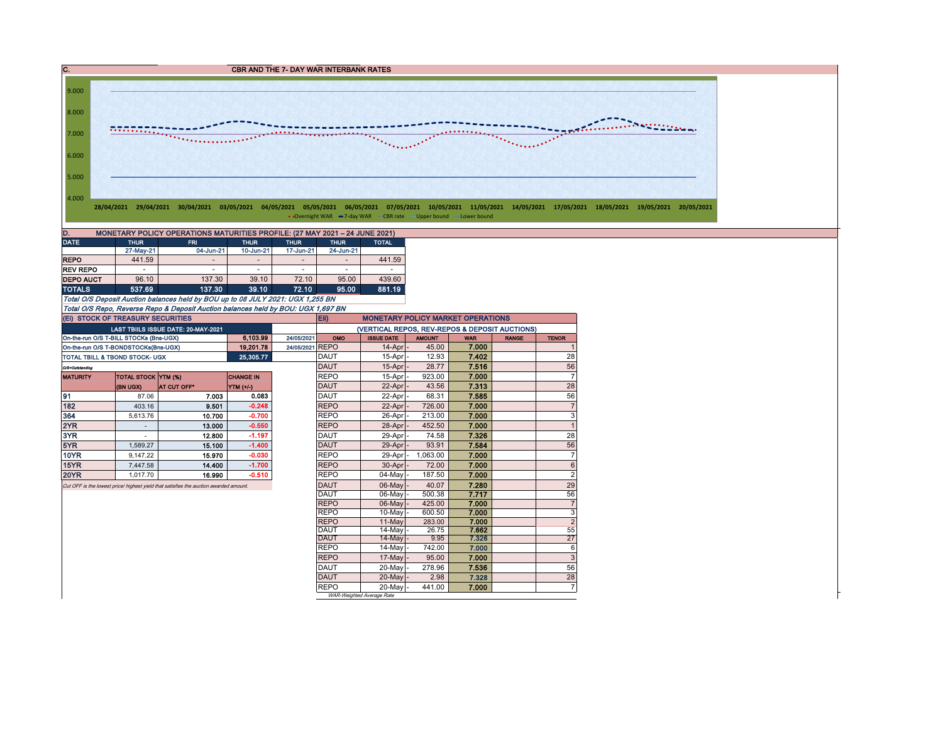



• Overnight WAR -7-day WAR CBR rate -Upper bound -Lower bound

| <b>DATE</b><br><b>THUR</b><br><b>FRI</b><br><b>THUR</b><br><b>THUR</b><br><b>THUR</b><br>24-Jun-21<br>27-May-21<br>17-Jun-21<br>10-Jun-21<br>04-Jun-21<br>441.59<br><b>REPO</b> | D.<br>MONETARY POLICY OPERATIONS MATURITIES PROFILE: (27 MAY 2021 - 24 JUNE 2021) |  |  |  |  |  |  |              |  |  |  |  |  |  |
|---------------------------------------------------------------------------------------------------------------------------------------------------------------------------------|-----------------------------------------------------------------------------------|--|--|--|--|--|--|--------------|--|--|--|--|--|--|
|                                                                                                                                                                                 |                                                                                   |  |  |  |  |  |  | <b>TOTAL</b> |  |  |  |  |  |  |
|                                                                                                                                                                                 |                                                                                   |  |  |  |  |  |  |              |  |  |  |  |  |  |
|                                                                                                                                                                                 |                                                                                   |  |  |  |  |  |  | 441.59       |  |  |  |  |  |  |
| <b>REV REPO</b><br>-<br>-<br>$\,$<br>۰                                                                                                                                          |                                                                                   |  |  |  |  |  |  |              |  |  |  |  |  |  |
| 96.10<br>39.10<br>72.10<br>95.00<br>137.30<br><b>DEPO AUCT</b>                                                                                                                  |                                                                                   |  |  |  |  |  |  | 439.60       |  |  |  |  |  |  |
| 537.69<br>137.30<br>39.10<br>72.10<br>95.00<br><b>TOTALS</b>                                                                                                                    |                                                                                   |  |  |  |  |  |  | 881.19       |  |  |  |  |  |  |

Total O/S Deposit Auction balances held by BOU up to 08 JULY 2021: UGX 1,255 BN Total O/S Repo, Reverse Repo & Deposit Auction balances held by BOU: UGX 1,697 BN

| (EI) STOCK OF TREASURY SECURITIES         |                            |                                                                                       |                  |                 | Eii)<br><b>MONETARY POLICY MARKET OPERATIONS</b> |                                                |               |            |              |                |  |  |  |
|-------------------------------------------|----------------------------|---------------------------------------------------------------------------------------|------------------|-----------------|--------------------------------------------------|------------------------------------------------|---------------|------------|--------------|----------------|--|--|--|
|                                           |                            | LAST TBIILS ISSUE DATE: 20-MAY-2021                                                   |                  |                 |                                                  | (VERTICAL REPOS, REV-REPOS & DEPOSIT AUCTIONS) |               |            |              |                |  |  |  |
| On-the-run O/S T-BILL STOCKs (Bns-UGX)    |                            |                                                                                       | 6.103.99         | 24/05/2021      | OMO                                              | <b>ISSUE DATE</b>                              | <b>AMOUNT</b> | <b>WAR</b> | <b>RANGE</b> | <b>TENOR</b>   |  |  |  |
| On-the-run O/S T-BONDSTOCKs(Bns-UGX)      |                            |                                                                                       | 19.201.78        | 24/05/2021 REPO |                                                  | 14-Apr                                         | 45.00         | 7.000      |              | $\mathbf 1$    |  |  |  |
| <b>TOTAL TBILL &amp; TBOND STOCK- UGX</b> |                            |                                                                                       | 25,305.77        |                 | <b>DAUT</b>                                      | 15-Apr                                         | 12.93         | 7.402      |              | 28             |  |  |  |
| O/S=Outstanding                           |                            |                                                                                       |                  |                 | <b>DAUT</b>                                      | 15-Apr                                         | 28.77         | 7.516      |              | 56             |  |  |  |
| <b>MATURITY</b>                           | <b>TOTAL STOCK YTM (%)</b> |                                                                                       | <b>CHANGE IN</b> |                 | <b>REPO</b>                                      | 15-Apr                                         | 923.00        | 7.000      |              | $\overline{7}$ |  |  |  |
|                                           | (BN UGX)                   | <b>AT CUT OFF*</b>                                                                    | YTM (+/-)        |                 | <b>DAUT</b>                                      | 22-Apr                                         | 43.56         | 7.313      |              | 28             |  |  |  |
| 91                                        | 87.06                      | 7.003                                                                                 | 0.083            |                 | <b>DAUT</b>                                      | 22-Apr                                         | 68.31         | 7.585      |              | 56             |  |  |  |
| 182                                       | 403.16                     | 9.501                                                                                 | $-0.248$         |                 | <b>REPO</b>                                      | 22-Apr                                         | 726.00        | 7.000      |              | $\overline{7}$ |  |  |  |
| 364                                       | 5.613.76                   | 10.700                                                                                | $-0.700$         |                 | <b>REPO</b>                                      | 26-Apr                                         | 213.00        | 7.000      |              | 3              |  |  |  |
| 2YR                                       | $\overline{\phantom{a}}$   | 13.000                                                                                | $-0.550$         |                 | <b>REPO</b>                                      | 28-Apr                                         | 452.50        | 7.000      |              | 1              |  |  |  |
| 3YR                                       |                            | 12.800                                                                                | $-1.197$         |                 | <b>DAUT</b>                                      | 29-Apr                                         | 74.58         | 7.326      |              | 28             |  |  |  |
| 5YR                                       | 1.589.27                   | 15.100                                                                                | $-1.400$         |                 | <b>DAUT</b>                                      | 29-Apr                                         | 93.91         | 7.584      |              | 56             |  |  |  |
| <b>10YR</b>                               | 9.147.22                   | 15.970                                                                                | $-0.030$         |                 | <b>REPO</b>                                      | 29-Apr                                         | 1.063.00      | 7.000      |              | $\overline{7}$ |  |  |  |
| 15YR                                      | 7,447.58                   | 14.400                                                                                | $-1.700$         |                 | <b>REPO</b>                                      | 30-Apr                                         | 72.00         | 7.000      |              | 6              |  |  |  |
| <b>20YR</b>                               | 1.017.70                   | 16.990                                                                                | $-0.510$         |                 | <b>REPO</b>                                      | 04-May                                         | 187.50        | 7.000      |              | $\overline{2}$ |  |  |  |
|                                           |                            | Cut OFF is the lowest price/ highest yield that satisfies the auction awarded amount. |                  |                 | DAUT                                             | 06-May                                         | 40.07         | 7.280      |              | 29             |  |  |  |
|                                           |                            |                                                                                       |                  |                 | <b>DAUT</b>                                      | 06-May                                         | 500.38        | 7.717      |              | 56             |  |  |  |
|                                           |                            |                                                                                       |                  |                 | <b>REPO</b>                                      | 06-May                                         | 425.00        | 7.000      |              | $\overline{7}$ |  |  |  |
|                                           |                            |                                                                                       |                  |                 | <b>REPO</b>                                      | 10-May                                         | 600.50        | 7.000      |              | 3              |  |  |  |
|                                           |                            |                                                                                       |                  |                 | <b>REPO</b>                                      | $11-May$                                       | 283.00        | 7.000      |              | $\overline{2}$ |  |  |  |
|                                           |                            |                                                                                       |                  |                 | DAUT                                             | 14-May                                         | 26.75         | 7.662      |              | 55             |  |  |  |
|                                           |                            |                                                                                       |                  |                 | <b>DAUT</b>                                      | $14$ -May                                      | 9.95          | 7.326      |              | 27             |  |  |  |
|                                           |                            |                                                                                       |                  |                 | <b>REPO</b>                                      | 14-May                                         | 742.00        | 7.000      |              | 6              |  |  |  |
|                                           |                            |                                                                                       |                  |                 | <b>REPO</b>                                      | 17-May                                         | 95.00         | 7.000      |              | 3              |  |  |  |
|                                           |                            |                                                                                       |                  |                 | <b>DAUT</b>                                      | 20-May                                         | 278.96        | 7.536      |              | 56             |  |  |  |
|                                           |                            |                                                                                       |                  |                 | <b>DAUT</b>                                      | 20-May                                         | 2.98          | 7.328      |              | 28             |  |  |  |
|                                           |                            |                                                                                       |                  |                 | <b>REPO</b>                                      | 20-May                                         | 441.00        | 7.000      |              | $\overline{7}$ |  |  |  |

WAR-Weighted Average Rate